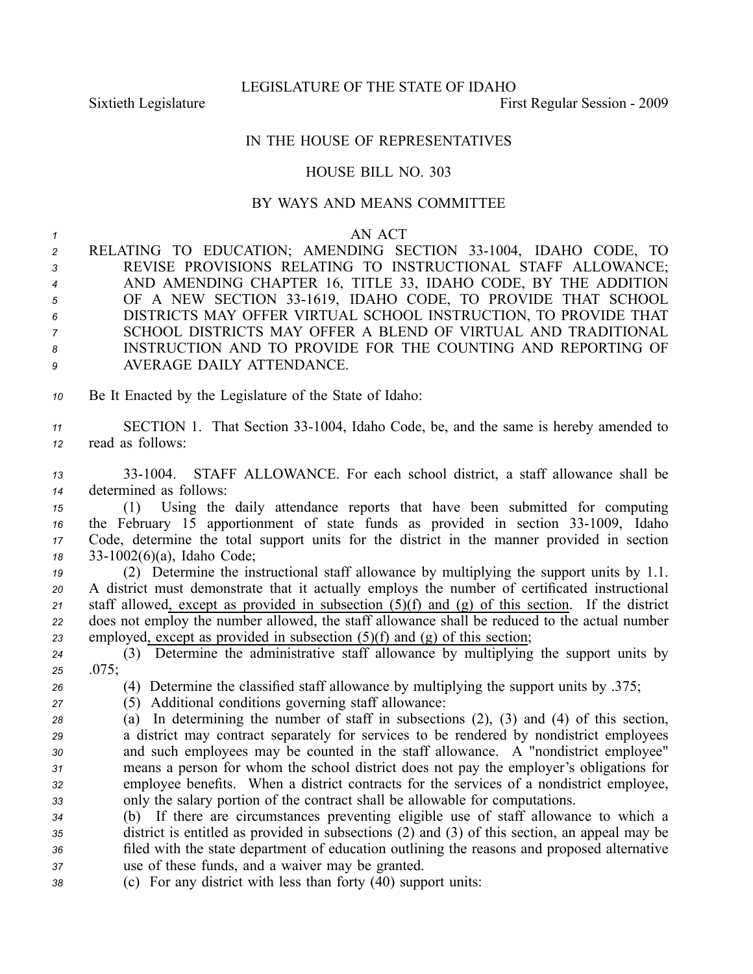LEGISLATURE OF THE STATE OF IDAHO

Sixtieth Legislature **First** Regular Session - 2009

## IN THE HOUSE OF REPRESENTATIVES

## HOUSE BILL NO. 303

## BY WAYS AND MEANS COMMITTEE

## *1* AN ACT

| 2               | RELATING TO EDUCATION; AMENDING SECTION 33-1004, IDAHO CODE, TO |
|-----------------|-----------------------------------------------------------------|
| $3^{\circ}$     | REVISE PROVISIONS RELATING TO INSTRUCTIONAL STAFF ALLOWANCE;    |
| $\overline{4}$  | AND AMENDING CHAPTER 16, TITLE 33, IDAHO CODE, BY THE ADDITION  |
| 5 <sup>5</sup>  | OF A NEW SECTION 33-1619, IDAHO CODE, TO PROVIDE THAT SCHOOL    |
| $6\overline{6}$ | DISTRICTS MAY OFFER VIRTUAL SCHOOL INSTRUCTION, TO PROVIDE THAT |
| $\overline{7}$  | SCHOOL DISTRICTS MAY OFFER A BLEND OF VIRTUAL AND TRADITIONAL   |
| 8               | INSTRUCTION AND TO PROVIDE FOR THE COUNTING AND REPORTING OF    |
| 9               | AVERAGE DAILY ATTENDANCE.                                       |

*<sup>10</sup>* Be It Enacted by the Legislature of the State of Idaho:

*<sup>11</sup>* SECTION 1. That Section 331004, Idaho Code, be, and the same is hereby amended to *<sup>12</sup>* read as follows:

*<sup>13</sup>* 331004. STAFF ALLOWANCE. For each school district, <sup>a</sup> staff allowance shall be *<sup>14</sup>* determined as follows:

 (1) Using the daily attendance reports that have been submitted for computing the February 15 apportionment of state funds as provided in section 33-1009, Idaho Code, determine the total suppor<sup>t</sup> units for the district in the manner provided in section 331002(6)(a), Idaho Code;

 (2) Determine the instructional staff allowance by multiplying the suppor<sup>t</sup> units by 1.1. A district must demonstrate that it actually employs the number of certificated instructional staff allowed, excep<sup>t</sup> as provided in subsection (5)(f) and (g) of this section. If the district does not employ the number allowed, the staff allowance shall be reduced to the actual number employed, excep<sup>t</sup> as provided in subsection (5)(f) and (g) of this section;

*<sup>24</sup>* (3) Determine the administrative staff allowance by multiplying the suppor<sup>t</sup> units by *<sup>25</sup>* .075;

*<sup>26</sup>* (4) Determine the classified staff allowance by multiplying the suppor<sup>t</sup> units by .375;

- *<sup>27</sup>* (5) Additional conditions governing staff allowance:
- *<sup>28</sup>* (a) In determining the number of staff in subsections (2), (3) and (4) of this section, *<sup>29</sup>* <sup>a</sup> district may contract separately for services to be rendered by nondistrict employees *<sup>30</sup>* and such employees may be counted in the staff allowance. A "nondistrict employee" *<sup>31</sup>* means <sup>a</sup> person for whom the school district does not pay the employer's obligations for *<sup>32</sup>* employee benefits. When <sup>a</sup> district contracts for the services of <sup>a</sup> nondistrict employee, *<sup>33</sup>* only the salary portion of the contract shall be allowable for computations.

 (b) If there are circumstances preventing eligible use of staff allowance to which <sup>a</sup> district is entitled as provided in subsections (2) and (3) of this section, an appeal may be filed with the state department of education outlining the reasons and proposed alternative use of these funds, and <sup>a</sup> waiver may be granted.

*<sup>38</sup>* (c) For any district with less than forty (40) suppor<sup>t</sup> units: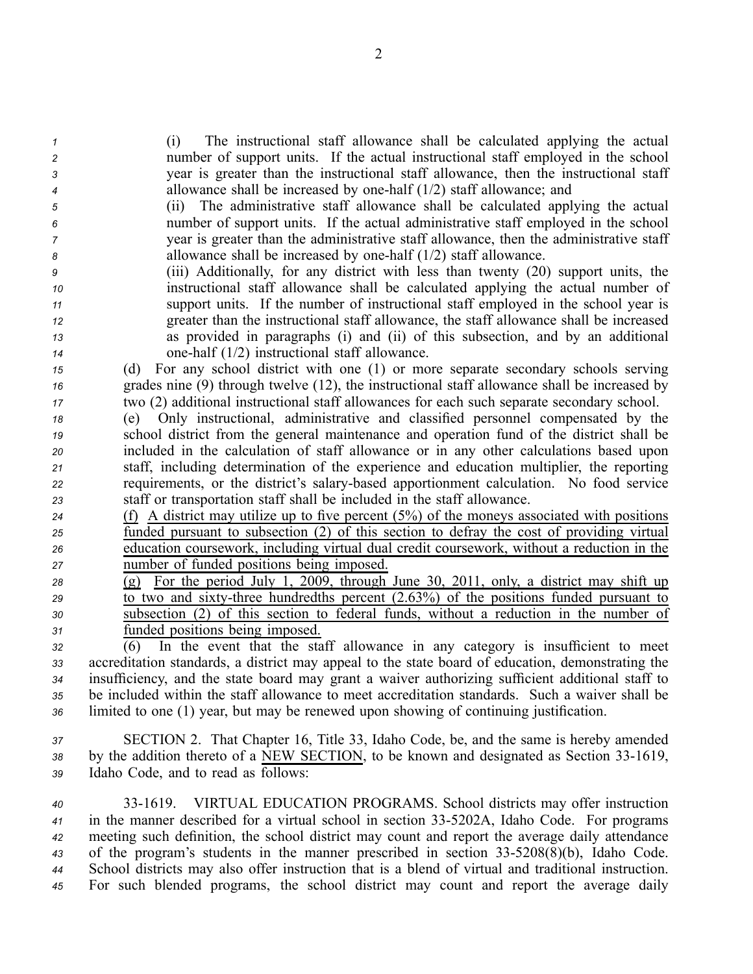(i) The instructional staff allowance shall be calculated applying the actual number of suppor<sup>t</sup> units. If the actual instructional staff employed in the school year is greater than the instructional staff allowance, then the instructional staff allowance shall be increased by onehalf (1/2) staff allowance; and

 (ii) The administrative staff allowance shall be calculated applying the actual number of suppor<sup>t</sup> units. If the actual administrative staff employed in the school year is greater than the administrative staff allowance, then the administrative staff allowance shall be increased by onehalf (1/2) staff allowance.

 (iii) Additionally, for any district with less than twenty (20) suppor<sup>t</sup> units, the instructional staff allowance shall be calculated applying the actual number of suppor<sup>t</sup> units. If the number of instructional staff employed in the school year is greater than the instructional staff allowance, the staff allowance shall be increased as provided in paragraphs (i) and (ii) of this subsection, and by an additional onehalf (1/2) instructional staff allowance.

*<sup>15</sup>* (d) For any school district with one (1) or more separate secondary schools serving *<sup>16</sup>* grades nine (9) through twelve (12), the instructional staff allowance shall be increased by *<sup>17</sup>* two (2) additional instructional staff allowances for each such separate secondary school.

 (e) Only instructional, administrative and classified personnel compensated by the school district from the general maintenance and operation fund of the district shall be included in the calculation of staff allowance or in any other calculations based upon staff, including determination of the experience and education multiplier, the reporting requirements, or the district's salarybased apportionment calculation. No food service staff or transportation staff shall be included in the staff allowance.

 (f) A district may utilize up to five percen<sup>t</sup> (5%) of the moneys associated with positions funded pursuan<sup>t</sup> to subsection (2) of this section to defray the cost of providing virtual education coursework, including virtual dual credit coursework, without <sup>a</sup> reduction in the number of funded positions being imposed.

 (g) For the period July 1, 2009, through June 30, 2011, only, <sup>a</sup> district may shift up to two and sixty-three hundredths percent (2.63%) of the positions funded pursuant to subsection (2) of this section to federal funds, without <sup>a</sup> reduction in the number of funded positions being imposed.

 (6) In the event that the staff allowance in any category is insufficient to meet accreditation standards, <sup>a</sup> district may appeal to the state board of education, demonstrating the insufficiency, and the state board may gran<sup>t</sup> <sup>a</sup> waiver authorizing sufficient additional staff to be included within the staff allowance to meet accreditation standards. Such <sup>a</sup> waiver shall be limited to one (1) year, but may be renewed upon showing of continuing justification.

*<sup>37</sup>* SECTION 2. That Chapter 16, Title 33, Idaho Code, be, and the same is hereby amended 38 by the addition thereto of a NEW SECTION, to be known and designated as Section 33-1619, *<sup>39</sup>* Idaho Code, and to read as follows:

 331619. VIRTUAL EDUCATION PROGRAMS. School districts may offer instruction in the manner described for <sup>a</sup> virtual school in section 335202A, Idaho Code. For programs meeting such definition, the school district may count and repor<sup>t</sup> the average daily attendance 43 of the program's students in the manner prescribed in section 33-5208(8)(b), Idaho Code. School districts may also offer instruction that is <sup>a</sup> blend of virtual and traditional instruction. For such blended programs, the school district may count and repor<sup>t</sup> the average daily